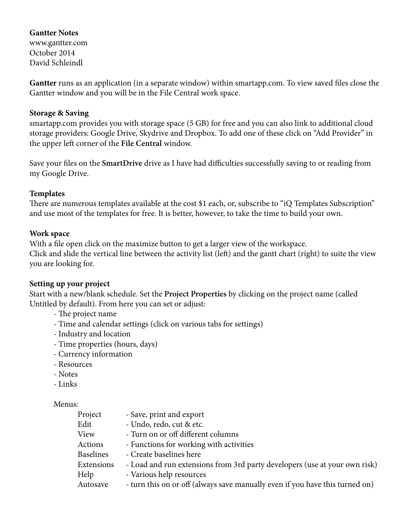# **Gantter Notes**

www.gantter.com October 2014 David Schleindl

**Gantter** runs as an application (in a separate window) within smartapp.com. To view saved files close the Gantter window and you will be in the File Central work space.

#### **Storage & Saving**

smartapp.com provides you with storage space (5 GB) for free and you can also link to additional cloud storage providers: Google Drive, Skydrive and Dropbox. To add one of these click on "Add Provider" in the upper left corner of the **File Central** window.

Save your files on the **SmartDrive** drive as I have had difficulties successfully saving to or reading from my Google Drive.

### **Templates**

There are numerous templates available at the cost \$1 each, or, subscribe to "iQ Templates Subscription" and use most of the templates for free. It is better, however, to take the time to build your own.

### **Work space**

With a file open click on the maximize button to get a larger view of the workspace. Click and slide the vertical line between the activity list (left) and the gantt chart (right) to suite the view you are looking for.

#### **Setting up your project**

Start with a new/blank schedule. Set the **Project Properties** by clicking on the project name (called Untitled by default). From here you can set or adjust:

- The project name
- Time and calendar settings (click on various tabs for settings)
- Industry and location
- Time properties (hours, days)
- Currency information
- Resources
- Notes
- Links

#### Menus:

| Project          | - Save, print and export                                                     |
|------------------|------------------------------------------------------------------------------|
| Edit             | - Undo, redo, cut & etc.                                                     |
| View             | - Turn on or off different columns                                           |
| Actions          | - Functions for working with activities                                      |
| <b>Baselines</b> | - Create baselines here                                                      |
| Extensions       | - Load and run extensions from 3rd party developers (use at your own risk)   |
| Help             | - Various help resources                                                     |
| Autosave         | - turn this on or off (always save manually even if you have this turned on) |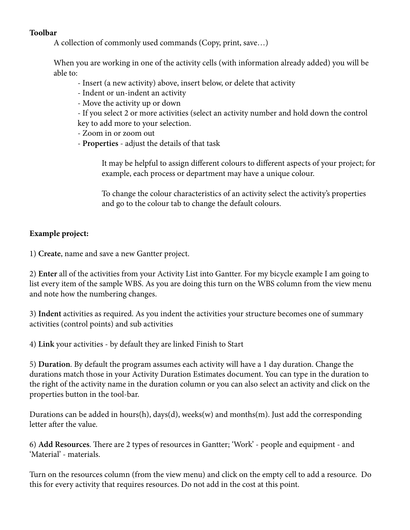### **Toolbar**

A collection of commonly used commands (Copy, print, save…)

When you are working in one of the activity cells (with information already added) you will be able to:

- Insert (a new activity) above, insert below, or delete that activity
- Indent or un-indent an activity
- Move the activity up or down

 - If you select 2 or more activities (select an activity number and hold down the control key to add more to your selection.

- Zoom in or zoom out
- **Properties** adjust the details of that task

 It may be helpful to assign different colours to different aspects of your project; for example, each process or department may have a unique colour.

 To change the colour characteristics of an activity select the activity's properties and go to the colour tab to change the default colours.

# **Example project:**

1) **Create**, name and save a new Gantter project.

2) **Enter** all of the activities from your Activity List into Gantter. For my bicycle example I am going to list every item of the sample WBS. As you are doing this turn on the WBS column from the view menu and note how the numbering changes.

3) **Indent** activities as required. As you indent the activities your structure becomes one of summary activities (control points) and sub activities

4) **Link** your activities - by default they are linked Finish to Start

5) **Duration**. By default the program assumes each activity will have a 1 day duration. Change the durations match those in your Activity Duration Estimates document. You can type in the duration to the right of the activity name in the duration column or you can also select an activity and click on the properties button in the tool-bar.

Durations can be added in hours(h), days(d), weeks(w) and months(m). Just add the corresponding letter after the value.

6) **Add Resources**. There are 2 types of resources in Gantter; 'Work' - people and equipment - and 'Material' - materials.

Turn on the resources column (from the view menu) and click on the empty cell to add a resource. Do this for every activity that requires resources. Do not add in the cost at this point.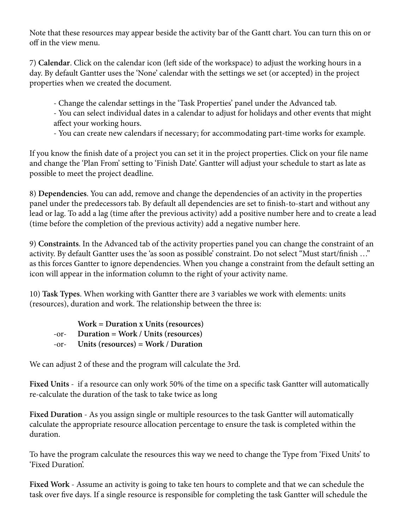Note that these resources may appear beside the activity bar of the Gantt chart. You can turn this on or off in the view menu.

7) **Calendar**. Click on the calendar icon (left side of the workspace) to adjust the working hours in a day. By default Gantter uses the 'None' calendar with the settings we set (or accepted) in the project properties when we created the document.

- Change the calendar settings in the 'Task Properties' panel under the Advanced tab.

- You can select individual dates in a calendar to adjust for holidays and other events that might affect your working hours.

- You can create new calendars if necessary; for accommodating part-time works for example.

If you know the finish date of a project you can set it in the project properties. Click on your file name and change the 'Plan From' setting to 'Finish Date'. Gantter will adjust your schedule to start as late as possible to meet the project deadline.

8) **Dependencies**. You can add, remove and change the dependencies of an activity in the properties panel under the predecessors tab. By default all dependencies are set to finish-to-start and without any lead or lag. To add a lag (time after the previous activity) add a positive number here and to create a lead (time before the completion of the previous activity) add a negative number here.

9) **Constraints**. In the Advanced tab of the activity properties panel you can change the constraint of an activity. By default Gantter uses the 'as soon as possible' constraint. Do not select "Must start/finish …" as this forces Gantter to ignore dependencies. When you change a constraint from the default setting an icon will appear in the information column to the right of your activity name.

10) **Task Types**. When working with Gantter there are 3 variables we work with elements: units (resources), duration and work. The relationship between the three is:

 **Work = Duration x Units (resources)** -or- **Duration = Work / Units (resources)** -or- **Units (resources) = Work / Duration**

We can adjust 2 of these and the program will calculate the 3rd.

**Fixed Units** - if a resource can only work 50% of the time on a specific task Gantter will automatically re-calculate the duration of the task to take twice as long

**Fixed Duration** - As you assign single or multiple resources to the task Gantter will automatically calculate the appropriate resource allocation percentage to ensure the task is completed within the duration.

To have the program calculate the resources this way we need to change the Type from 'Fixed Units' to 'Fixed Duration'.

**Fixed Work** - Assume an activity is going to take ten hours to complete and that we can schedule the task over five days. If a single resource is responsible for completing the task Gantter will schedule the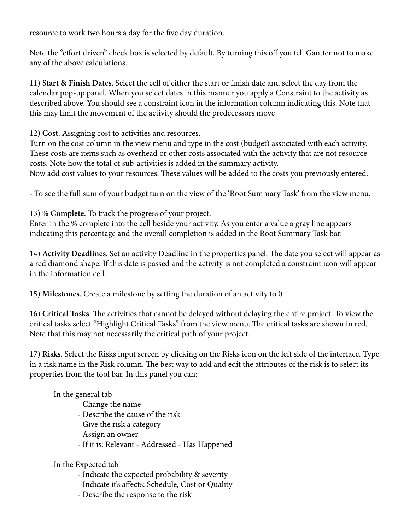resource to work two hours a day for the five day duration.

Note the "effort driven" check box is selected by default. By turning this off you tell Gantter not to make any of the above calculations.

11) **Start & Finish Dates**. Select the cell of either the start or finish date and select the day from the calendar pop-up panel. When you select dates in this manner you apply a Constraint to the activity as described above. You should see a constraint icon in the information column indicating this. Note that this may limit the movement of the activity should the predecessors move

12) **Cost**. Assigning cost to activities and resources.

Turn on the cost column in the view menu and type in the cost (budget) associated with each activity. These costs are items such as overhead or other costs associated with the activity that are not resource costs. Note how the total of sub-activities is added in the summary activity.

Now add cost values to your resources. These values will be added to the costs you previously entered.

- To see the full sum of your budget turn on the view of the 'Root Summary Task' from the view menu.

13) **% Complete**. To track the progress of your project.

Enter in the % complete into the cell beside your activity. As you enter a value a gray line appears indicating this percentage and the overall completion is added in the Root Summary Task bar.

14) **Activity Deadlines**. Set an activity Deadline in the properties panel. The date you select will appear as a red diamond shape. If this date is passed and the activity is not completed a constraint icon will appear in the information cell.

15) **Milestones**. Create a milestone by setting the duration of an activity to 0.

16) **Critical Tasks**. The activities that cannot be delayed without delaying the entire project. To view the critical tasks select "Highlight Critical Tasks" from the view menu. The critical tasks are shown in red. Note that this may not necessarily the critical path of your project.

17) **Risks**. Select the Risks input screen by clicking on the Risks icon on the left side of the interface. Type in a risk name in the Risk column. The best way to add and edit the attributes of the risk is to select its properties from the tool bar. In this panel you can:

In the general tab

- Change the name
- Describe the cause of the risk
- Give the risk a category
- Assign an owner
- If it is: Relevant Addressed Has Happened

## In the Expected tab

- Indicate the expected probability & severity
- Indicate it's affects: Schedule, Cost or Quality
- Describe the response to the risk